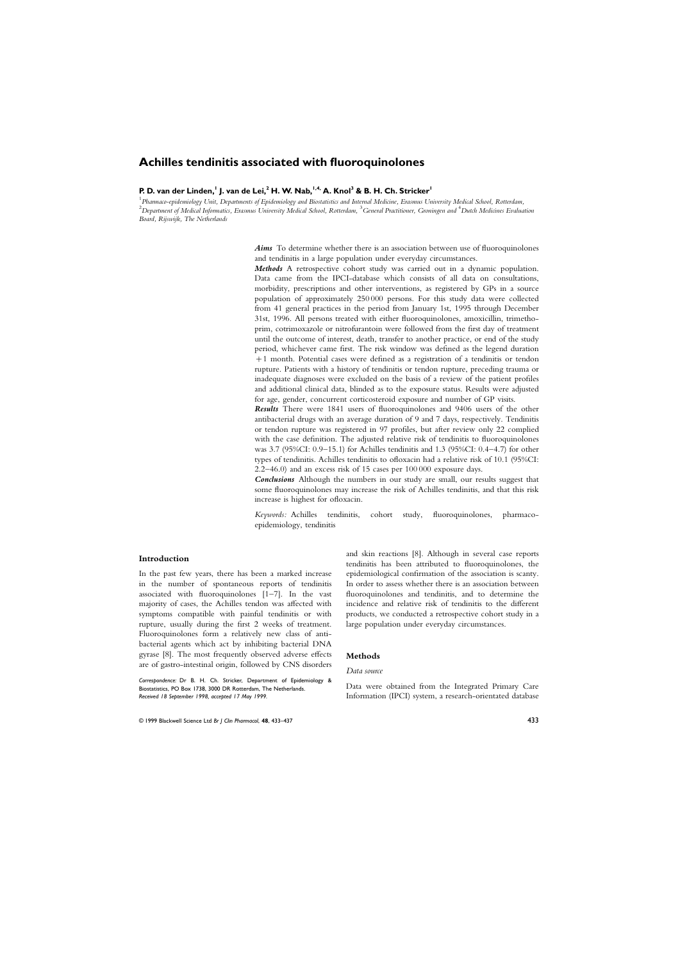# **Achilles tendinitis associated with fluoroquinolones**

## **P. D. van der Linden,**<sup>1</sup> **J. van de Lei,**<sup>2</sup> **H. W. Nab,**<sup>1,4,</sup> **A. Knol**<sup>3</sup> & B. H. Ch. Stricker<sup>1</sup>

<sup>1</sup> Pharmaco-epidemiology Unit, Departments of Epidemiology and Biostatistics and Internal Medicine, Erasmus University Medical School, Rotterdam,<br><sup>2</sup> Department of Medical Information, Erasmus University Medical School, D *Department of Medical Informatics, Erasmus University Medical School, Rotterdam,* <sup>3</sup> *General Practitioner, Groningen and* <sup>4</sup> *Dutch Medicines Evaluation Board, Rijswijk, The Netherlands*

> *Aims* To determine whether there is an association between use of fluoroquinolones and tendinitis in a large population under everyday circumstances.

> *Methods* A retrospective cohort study was carried out in a dynamic population. Data came from the IPCI-database which consists of all data on consultations, morbidity, prescriptions and other interventions, as registered by GPs in a source population of approximately 250 000 persons. For this study data were collected from 41 general practices in the period from January 1st, 1995 through December 31st, 1996. All persons treated with either fluoroquinolones, amoxicillin, trimethoprim, cotrimoxazole or nitrofurantoin were followed from the first day of treatment until the outcome of interest, death, transfer to another practice, or end of the study period, whichever came first. The risk window was defined as the legend duration +1 month. Potential cases were defined as a registration of a tendinitis or tendon rupture. Patients with a history of tendinitis or tendon rupture, preceding trauma or inadequate diagnoses were excluded on the basis of a review of the patient profiles and additional clinical data, blinded as to the exposure status. Results were adjusted for age, gender, concurrent corticosteroid exposure and number of GP visits.

> *Results* There were 1841 users of fluoroquinolones and 9406 users of the other antibacterial drugs with an average duration of 9 and 7 days, respectively. Tendinitis or tendon rupture was registered in 97 profiles, but after review only 22 complied with the case definition. The adjusted relative risk of tendinitis to fluoroquinolones was 3.7 (95%CI: 0.9–15.1) for Achilles tendinitis and 1.3 (95%CI: 0.4–4.7) for other types of tendinitis. Achilles tendinitis to ofloxacin had a relative risk of 10.1 (95%CI: 2.2–46.0) and an excess risk of 15 cases per 100 000 exposure days.

> *Conclusions* Although the numbers in our study are small, our results suggest that some fluoroquinolones may increase the risk of Achilles tendinitis, and that this risk increase is highest for ofloxacin.

> *Keywords:* Achilles tendinitis, cohort study, fluoroquinolones, pharmacoepidemiology, tendinitis

in the number of spontaneous reports of tendinitis In order to assess whether there is an association between associated with fluoroquinolones [1–7]. In the vast fluoroquinolones and tendinitis, and to determine the majority of cases, the Achilles tendon was affected with incidence and relative risk of tendinitis to the different symptoms compatible with painful tendinitis or with products, we conducted a retrospective cohort study in a rupture, usually during the first 2 weeks of treatment. large population under everyday circumstances. Fluoroquinolones form a relatively new class of antibacterial agents which act by inhibiting bacterial DNA gyrase [8]. The most frequently observed adverse effects **Methods** are of gastro-intestinal origin, followed by CNS disorders *Data source*

*Correspondence:* Dr B. H. Ch. Stricker, Department of Epidemiology & Data were obtained from the Integrated Primary Care Biostatistics, PO Box 1738, 3000 DR Rotterdam, The Netherlands. *Received 18 September 1998, accepted 17 May 1999.* Information (IPCI) system, a research-orientated database

**Introduction** and skin reactions [8]. Although in several case reports tendinitis has been attributed to fluoroquinolones, the In the past few years, there has been a marked increase epidemiological confirmation of the association is scanty.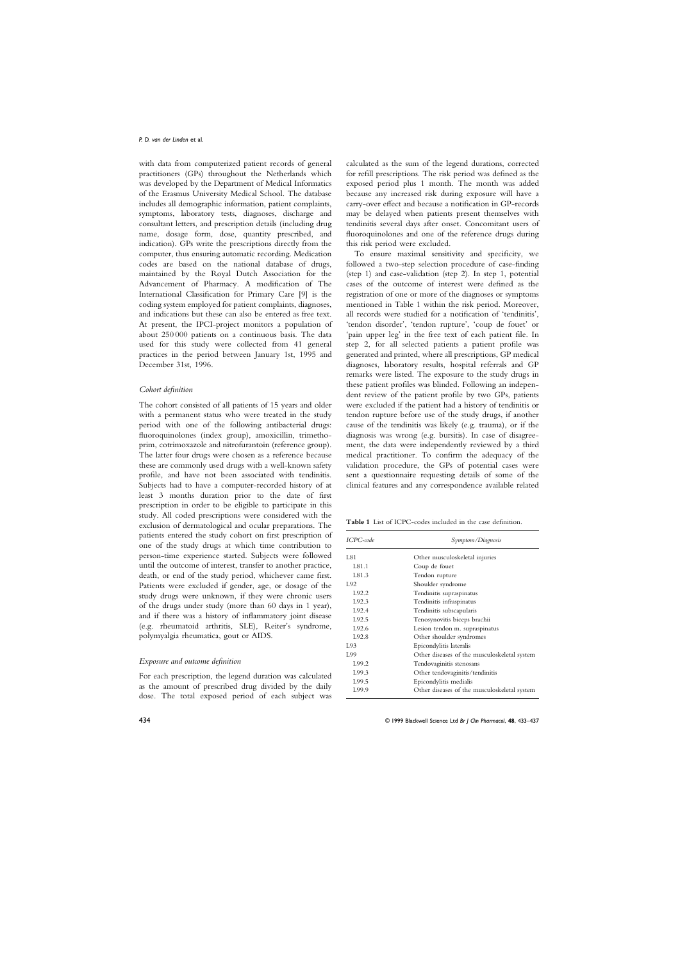practitioners (GPs) throughout the Netherlands which for refill prescriptions. The risk period was defined as the was developed by the Department of Medical Informatics exposed period plus 1 month. The month was added of the Erasmus University Medical School. The database because any increased risk during exposure will have a includes all demographic information, patient complaints, carry-over effect and because a notification in GP-records symptoms, laboratory tests, diagnoses, discharge and may be delayed when patients present themselves with consultant letters, and prescription details (including drug tendinitis several days after onset. Concomitant users of name, dosage form, dose, quantity prescribed, and fluoroquinolones and one of the reference drugs during indication). GPs write the prescriptions directly from the this risk period were excluded. computer, thus ensuring automatic recording. Medication To ensure maximal sensitivity and specificity, we codes are based on the national database of drugs, followed a two-step selection procedure of case-finding maintained by the Royal Dutch Association for the (step 1) and case-validation (step 2). In step 1, potential Advancement of Pharmacy. A modification of The cases of the outcome of interest were defined as the International Classification for Primary Care [9] is the registration of one or more of the diagnoses or symptoms coding system employed for patient complaints, diagnoses, mentioned in Table 1 within the risk period. Moreover, and indications but these can also be entered as free text. all records were studied for a notification of 'tendinitis', At present, the IPCI-project monitors a population of 'tendon disorder', 'tendon rupture', 'coup de fouet' or about 250 000 patients on a continuous basis. The data 'pain upper leg' in the free text of each patient file. In used for this study were collected from 41 general step 2, for all selected patients a patient profile was practices in the period between January 1st, 1995 and generated and printed, where all prescriptions, GP medical December 31st, 1996. diagnoses, laboratory results, hospital referrals and GP

with a permanent status who were treated in the study tendon rupture before use of the study drugs, if another period with one of the following antibacterial drugs: cause of the tendinitis was likely (e.g. trauma), or if the fluoroquinolones (index group), amoxicillin, trimetho- diagnosis was wrong (e.g. bursitis). In case of disagreeprim, cotrimoxazole and nitrofurantoin (reference group). ment, the data were independently reviewed by a third The latter four drugs were chosen as a reference because medical practitioner. To confirm the adequacy of the these are commonly used drugs with a well-known safety validation procedure, the GPs of potential cases were profile, and have not been associated with tendinitis. sent a questionnaire requesting details of some of the Subjects had to have a computer-recorded history of at clinical features and any correspondence available related least 3 months duration prior to the date of first prescription in order to be eligible to participate in this study. All coded prescriptions were considered with the exclusion of dermatological and ocular preparations. The **Table 1** List of ICPC-codes included in the case definition. patients entered the study cohort on first prescription of one of the study drugs at which time contribution to person-time experience started. Subjects were followed until the outcome of interest, transfer to another practice, death, or end of the study period, whichever came first. Patients were excluded if gender, age, or dosage of the study drugs were unknown, if they were chronic users<br>of the drugs under study (more than 60 days in 1 year),<br>and if there was a history of inflammatory joint disease<br>(e.g. rheumatoid arthritis, SLE), Reiter's syndrome, polymyalgia rheumatica, gout or AIDS.

## Exposure and outcome definition

For each prescription, the legend duration was calculated<br>as the amount of prescribed drug divided by the daily<br>dose. The total exposed period of each subject was

with data from computerized patient records of general calculated as the sum of the legend durations, corrected

remarks were listed. The exposure to the study drugs in These patient profiles was blinded. Following an indepen-<br> *Cohort definition* dent review of the patient profile by two GPs, patients The cohort consisted of all patients of 15 years and older were excluded if the patient had a history of tendinitis or

| ICPC-code | Symptom/Diagnosis                            |  |  |  |  |
|-----------|----------------------------------------------|--|--|--|--|
| L81       | Other musculoskeletal injuries               |  |  |  |  |
| L81.1     | Coup de fouet                                |  |  |  |  |
| L81.3     | Tendon rupture                               |  |  |  |  |
| L92       | Shoulder syndrome                            |  |  |  |  |
| L92.2     | Tendinitis supraspinatus                     |  |  |  |  |
| L92.3     | Tendinitis infraspinatus                     |  |  |  |  |
| L92.4     | Tendinitis subscapularis                     |  |  |  |  |
| L92.5     | Tenosynovitis biceps brachii                 |  |  |  |  |
| L92.6     | Lesion tendon m. supraspinatus               |  |  |  |  |
| L92.8     | Other shoulder syndromes                     |  |  |  |  |
| L93       | Epicondylitis lateralis                      |  |  |  |  |
| L99       | Other diseases of the musculoskeletal system |  |  |  |  |
| L99.2     | Tendovaginitis stenosans                     |  |  |  |  |
| L99.3     | Other tendovaginitis/tendinitis              |  |  |  |  |
| L99.5     | Epicondylitis medialis                       |  |  |  |  |
| L99.9     | Other diseases of the musculoskeletal system |  |  |  |  |
|           |                                              |  |  |  |  |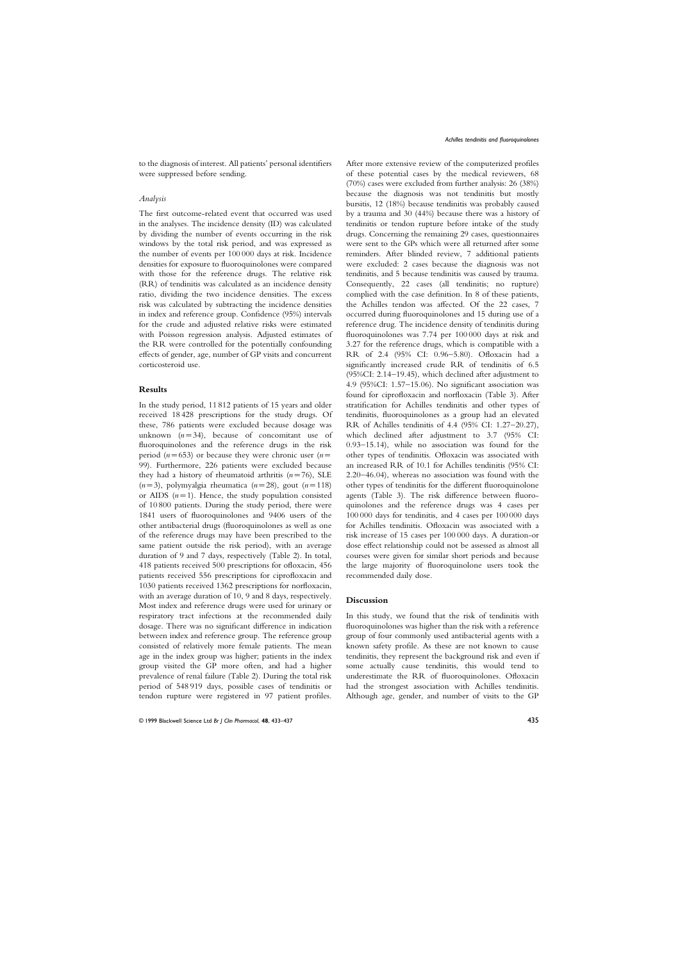to the diagnosis of interest. All patients' personal identifiers After more extensive review of the computerized profiles

in the analyses. The incidence density (ID) was calculated tendinitis or tendon rupture before intake of the study by dividing the number of events occurring in the risk drugs. Concerning the remaining 29 cases, questionnaires windows by the total risk period, and was expressed as were sent to the GPs which were all returned after some the number of events per 100 000 days at risk. Incidence reminders. After blinded review, 7 additional patients densities for exposure to fluoroquinolones were compared were excluded: 2 cases because the diagnosis was not with those for the reference drugs. The relative risk tendinitis, and 5 because tendinitis was caused by trauma. (RR) of tendinitis was calculated as an incidence density Consequently, 22 cases (all tendinitis; no rupture) ratio, dividing the two incidence densities. The excess complied with the case definition. In 8 of these patients, risk was calculated by subtracting the incidence densities the Achilles tendon was affected. Of the 22 cases, 7 in index and reference group. Confidence (95%) intervals occurred during fluoroquinolones and 15 during use of a for the crude and adjusted relative risks were estimated reference drug. The incidence density of tendinitis during with Poisson regression analysis. Adjusted estimates of fluoroquinolones was 7.74 per 100 000 days at risk and the RR were controlled for the potentially confounding 3.27 for the reference drugs, which is compatible with a effects of gender, age, number of GP visits and concurrent RR of 2.4 (95% CI: 0.96–5.80). Ofloxacin had a corticosteroid use. significantly increased crude RR of tendinitis of 6.5

received 18 428 prescriptions for the study drugs. Of tendinitis, fluoroquinolones as a group had an elevated these, 786 patients were excluded because dosage was RR of Achilles tendinitis of 4.4 (95% CI: 1.27–20.27), unknown  $(n=34)$ , because of concomitant use of which declined after adjustment to 3.7 (95% CI: fluoroquinolones and the reference drugs in the risk 0.93–15.14), while no association was found for the period (*n*=653) or because they were chronic user (*n*= other types of tendinitis. Ofloxacin was associated with 99). Furthermore, 226 patients were excluded because an increased RR of 10.1 for Achilles tendinitis (95% CI: they had a history of rheumatoid arthritis (*n*=76), SLE 2.20–46.04), whereas no association was found with the  $(n=3)$ , polymyalgia rheumatica  $(n=28)$ , gout  $(n=118)$  other types of tendinitis for the different fluoroquinolone or AIDS (*n*=1). Hence, the study population consisted agents (Table 3). The risk difference between fluoroof 10 800 patients. During the study period, there were quinolones and the reference drugs was 4 cases per 1841 users of fluoroquinolones and 9406 users of the 100 000 days for tendinitis, and 4 cases per 100 000 days other antibacterial drugs (fluoroquinolones as well as one for Achilles tendinitis. Ofloxacin was associated with a of the reference drugs may have been prescribed to the risk increase of 15 cases per 100 000 days. A duration-or same patient outside the risk period), with an average dose effect relationship could not be assessed as almost all duration of 9 and 7 days, respectively (Table 2). In total, courses were given for similar short periods and because 418 patients received 500 prescriptions for ofloxacin, 456 the large majority of fluoroquinolone users took the patients received 556 prescriptions for ciprofloxacin and recommended daily dose. 1030 patients received 1362 prescriptions for norfloxacin, with an average duration of 10, 9 and 8 days, respectively.<br> **Discussion** Most index and reference drugs were used for urinary or respiratory tract infections at the recommended daily In this study, we found that the risk of tendinitis with dosage. There was no significant difference in indication fluoroquinolones was higher than the risk with a reference between index and reference group. The reference group group of four commonly used antibacterial agents with a consisted of relatively more female patients. The mean known safety profile. As these are not known to cause age in the index group was higher; patients in the index tendinitis, they represent the background risk and even if group visited the GP more often, and had a higher some actually cause tendinitis, this would tend to prevalence of renal failure (Table 2). During the total risk underestimate the RR of fluoroquinolones. Ofloxacin period of 548 919 days, possible cases of tendinitis or had the strongest association with Achilles tendinitis.

were suppressed before sending.  $\qquad \qquad$  of these potential cases by the medical reviewers, 68 (70%) cases were excluded from further analysis: 26 (38%) because the diagnosis was not tendinitis but mostly *Analysis* bursitis, 12 (18%) because tendinitis was probably caused The first outcome-related event that occurred was used by a trauma and 30 (44%) because there was a history of (95%CI: 2.14–19.45), which declined after adjustment to 4.9 (95%CI: 1.57–15.06). No significant association was **Results** found for ciprofloxacin and norfloxacin (Table 3). After In the study period, 11 812 patients of 15 years and older stratification for Achilles tendinitis and other types of

tendon rupture were registered in 97 patient profiles. Although age, gender, and number of visits to the GP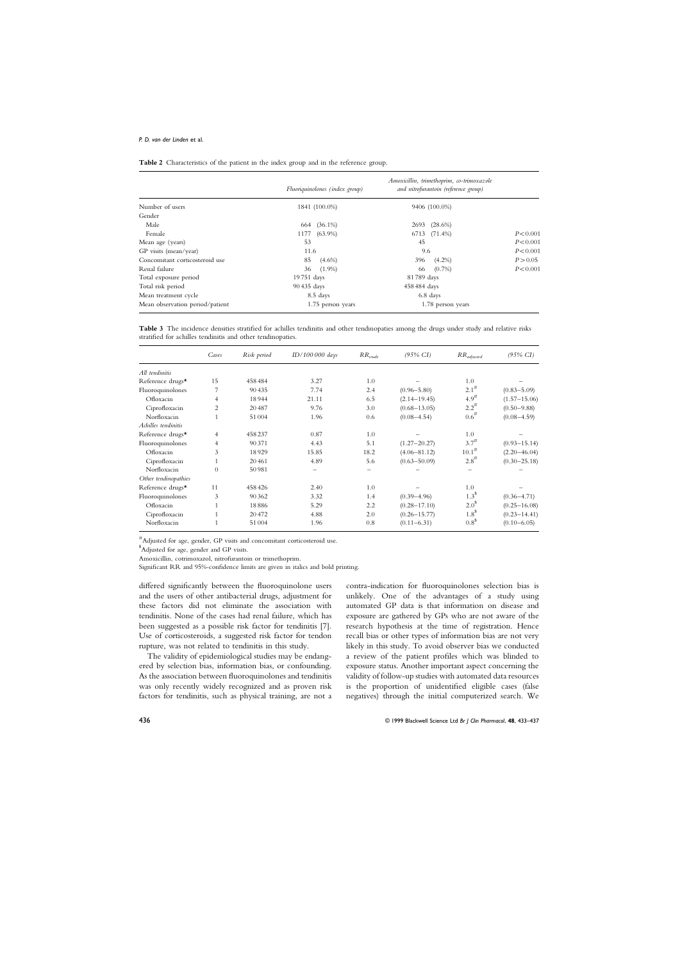|                                 | Fluoriquinolones (index group) | Amoxicillin, trimethoprim, co-trimoxazole<br>and nitrofurantoin (reference group) |           |
|---------------------------------|--------------------------------|-----------------------------------------------------------------------------------|-----------|
| Number of users                 | 1841 (100.0%)                  | 9406 (100.0%)                                                                     |           |
| Gender                          |                                |                                                                                   |           |
| Male                            | 664 (36.1%)                    | 2693<br>$(28.6\%)$                                                                |           |
| Female                          | 1177 (63.9%)                   | $(71.4\%)$<br>6713                                                                | P < 0.001 |
| Mean age (years)                | 53                             | 45                                                                                | P < 0.001 |
| GP visits (mean/year)           | 11.6                           | 9.6                                                                               | P < 0.001 |
| Concomitant corticosteroid use  | 85<br>$(4.6\%)$                | 396<br>$(4.2\%)$                                                                  | P > 0.05  |
| Renal failure                   | $(1.9\%)$<br>36                | $(0.7\%)$<br>66                                                                   | P < 0.001 |
| Total exposure period           | 19751 days                     | 81789 days                                                                        |           |
| Total risk period               | 90 435 days                    | 458 484 days                                                                      |           |
| Mean treatment cycle            | 8.5 days                       | 6.8 days                                                                          |           |
| Mean observation period/patient | 1.75 person years              | 1.78 person years                                                                 |           |

**Table 3** The incidence densities stratified for achilles tendinitis and other tendinopaties among the drugs under study and relative risks stratified for achilles tendinitis and other tendinopaties.

|                      | Cases          | Risk period | ID/100 000 days | $RR_{crude}$ | $(95\% \text{ CI})$ | $RR_{adjusted}$ | $(95\% \text{ CI})$ |
|----------------------|----------------|-------------|-----------------|--------------|---------------------|-----------------|---------------------|
| All tendinitis       |                |             |                 |              |                     |                 |                     |
| Reference drugs*     | 15             | 458484      | 3.27            | 1.0          |                     | 1.0             |                     |
| Fluoroquinolones     |                | 90435       | 7.74            | 2.4          | $(0.96 - 5.80)$     | $2.1^{#}$       | $(0.83 - 5.09)$     |
| Ofloxacin            | 4              | 18944       | 21.11           | 6.5          | $(2.14 - 19.45)$    | $4.9^{#}$       | $(1.57 - 15.06)$    |
| Ciprofloxacin        | $\overline{2}$ | 20487       | 9.76            | 3.0          | $(0.68 - 13.05)$    | $2.2^{#}$       | $(0.50 - 9.88)$     |
| Norfloxacin          |                | 51004       | 1.96            | 0.6          | $(0.08 - 4.54)$     | $0.6^{#}$       | $(0.08 - 4.59)$     |
| Achilles tendinitis  |                |             |                 |              |                     |                 |                     |
| Reference drugs*     | 4              | 458237      | 0.87            | 1.0          |                     | 1.0             |                     |
| Fluoroquinolones     | 4              | 90 371      | 4.43            | 5.1          | $(1.27 - 20.27)$    | $3.7^{#}$       | $(0.93 - 15.14)$    |
| Ofloxacin            | 3              | 18929       | 15.85           | 18.2         | $(4.06 - 81.12)$    | $10.1^{#}$      | $(2.20 - 46.04)$    |
| Ciprofloxacin        |                | 20461       | 4.89            | 5.6          | $(0.63 - 50.09)$    | $2.8^{\#}$      | $(0.30 - 25.18)$    |
| Norfloxacin          | $\overline{0}$ | 50981       |                 |              |                     |                 |                     |
| Other tendinopathies |                |             |                 |              |                     |                 |                     |
| Reference drugs*     | 11             | 458426      | 2.40            | 1.0          |                     | 1.0             |                     |
| Fluoroquinolones     | 3              | 90362       | 3.32            | 1.4          | $(0.39 - 4.96)$     | $1.3^{\$}$      | $(0.36 - 4.71)$     |
| Ofloxacin            |                | 18886       | 5.29            | 2.2          | $(0.28 - 17.10)$    | $2.0^{8}$       | $(0.25 - 16.08)$    |
| Ciprofloxacin        |                | 20472       | 4.88            | 2.0          | $(0.26 - 15.77)$    | $1.8^{\$}$      | $(0.23 - 14.41)$    |
| Norfloxacin          |                | 51004       | 1.96            | 0.8          | $(0.11 - 6.31)$     | $0.8^*$         | $(0.10 - 6.05)$     |

# Adjusted for age, gender, GP visits and concomitant corticosteroid use.

\$ Adjusted for age, gender and GP visits.

Amoxicillin, cotrimoxazol, nitrofurantoin or trimethoprim.

Significant RR and 95%-confidence limits are given in italics and bold printing.

differed significantly between the fluoroquinolone users contra-indication for fluoroquinolones selection bias is and the users of other antibacterial drugs, adjustment for unlikely. One of the advantages of a study using these factors did not eliminate the association with automated GP data is that information on disease and tendinitis. None of the cases had renal failure, which has exposure are gathered by GPs who are not aware of the been suggested as a possible risk factor for tendinitis [7]. research hypothesis at the time of registration. Hence Use of corticosteroids, a suggested risk factor for tendon recall bias or other types of information bias are not very rupture, was not related to tendinitis in this study. likely in this study. To avoid observer bias we conducted The validity of epidemiological studies may be endang- a review of the patient profiles which was blinded to ered by selection bias, information bias, or confounding. exposure status. Another important aspect concerning the As the association between fluoroquinolones and tendinitis validity of follow-up studies with automated data resources was only recently widely recognized and as proven risk is the proportion of unidentified eligible cases (false factors for tendinitis, such as physical training, are not a negatives) through the initial computerized search. We